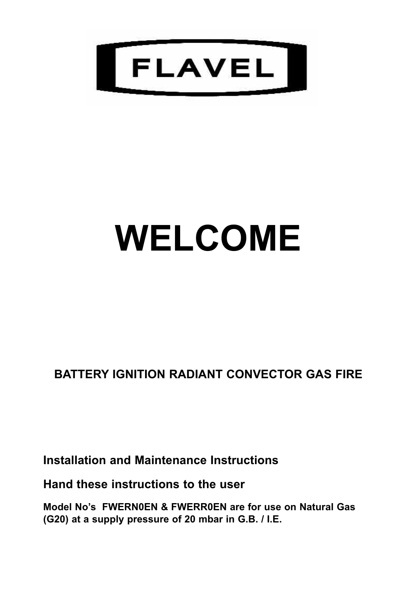

# **WELCOME**

**BATTERY IGNITION RADIANT CONVECTOR GAS FIRE**

**Installation and Maintenance Instructions**

**Hand these instructions to the user**

**Model No's FWERN0EN & FWERR0EN are for use on Natural Gas (G20) at a supply pressure of 20 mbar in G.B. / I.E.**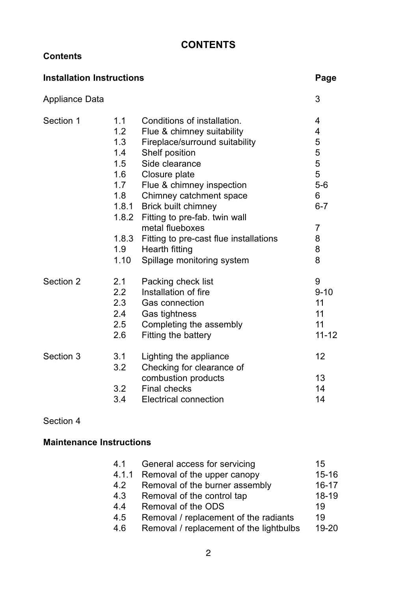# **CONTENTS**

#### **Contents**

| <b>Installation Instructions</b> |       | Page                                   |           |
|----------------------------------|-------|----------------------------------------|-----------|
| Appliance Data                   |       |                                        | 3         |
| Section 1                        | 1.1   | Conditions of installation.            | 4         |
|                                  | 1.2   | Flue & chimney suitability             | 4         |
|                                  | 1.3   | Fireplace/surround suitability         | 5         |
|                                  | 1.4   | Shelf position                         | 5         |
|                                  | 1.5   | Side clearance                         | 5         |
|                                  | 1.6   | Closure plate                          | 5         |
|                                  | 1.7   | Flue & chimney inspection              | $5-6$     |
|                                  | 1.8   | Chimney catchment space                | 6         |
|                                  | 1.8.1 | Brick built chimney                    | $6 - 7$   |
|                                  |       | 1.8.2 Fitting to pre-fab. twin wall    |           |
|                                  |       | metal flueboxes                        | 7         |
|                                  | 1.8.3 | Fitting to pre-cast flue installations | 8         |
|                                  | 1.9   | Hearth fitting                         | 8         |
|                                  | 1.10  | Spillage monitoring system             | 8         |
| Section 2                        | 2.1   | Packing check list                     | 9         |
|                                  | 2.2   | Installation of fire                   | $9 - 10$  |
|                                  | 2.3   | Gas connection                         | 11        |
|                                  | 2.4   | Gas tightness                          | 11        |
|                                  | 2.5   | Completing the assembly                | 11        |
|                                  | 2.6   | Fitting the battery                    | $11 - 12$ |
| Section 3                        | 3.1   | Lighting the appliance                 | 12        |
|                                  | 3.2   | Checking for clearance of              |           |
|                                  |       | combustion products                    | 13        |
|                                  | 3.2   | <b>Final checks</b>                    | 14        |
|                                  | 3.4   | Electrical connection                  | 14        |

# Section 4

# **Maintenance Instructions**

| 4.1   | General access for servicing            | 15        |
|-------|-----------------------------------------|-----------|
| 4.1.1 | Removal of the upper canopy             | $15 - 16$ |
| 4.2   | Removal of the burner assembly          | $16 - 17$ |
| 4.3   | Removal of the control tap              | 18-19     |
| 4.4   | Removal of the ODS                      | 19        |
| 4.5   | Removal / replacement of the radiants   | 19        |
| 4.6   | Removal / replacement of the lightbulbs | 19-20     |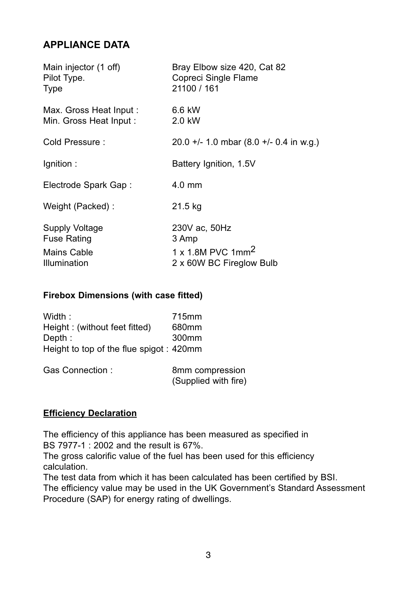# **APPLIANCE DATA**

| Main injector (1 off)   | Bray Elbow size 420, Cat 82             |
|-------------------------|-----------------------------------------|
| Pilot Type.             | Copreci Single Flame                    |
| Type                    | 21100 / 161                             |
| Max. Gross Heat Input : | 6.6 kW                                  |
| Min. Gross Heat Input:  | 2.0 kW                                  |
| Cold Pressure:          | 20.0 +/- 1.0 mbar (8.0 +/- 0.4 in w.g.) |
| lgnition:               | Battery Ignition, 1.5V                  |
| Electrode Spark Gap:    | $4.0 \text{ mm}$                        |
| Weight (Packed):        | 21.5 kg                                 |
| Supply Voltage          | 230V ac, 50Hz                           |
| Fuse Rating             | 3 Amp                                   |
| Mains Cable             | 1 x 1.8M PVC 1mm <sup>2</sup>           |
| Illumination            | 2 x 60W BC Fireglow Bulb                |

#### **Firebox Dimensions (with case fitted)**

| Width :                                 | 715mm             |
|-----------------------------------------|-------------------|
| Height: (without feet fitted)           | 680mm             |
| Depth:                                  | 300 <sub>mm</sub> |
| Height to top of the flue spigot: 420mm |                   |
|                                         |                   |

| Gas Connection: | 8mm compression      |
|-----------------|----------------------|
|                 | (Supplied with fire) |

#### **Efficiency Declaration**

The efficiency of this appliance has been measured as specified in BS 7977-1 : 2002 and the result is 67%.

The gross calorific value of the fuel has been used for this efficiency calculation.

The test data from which it has been calculated has been certified by BSI. The efficiency value may be used in the UK Government's Standard Assessment Procedure (SAP) for energy rating of dwellings.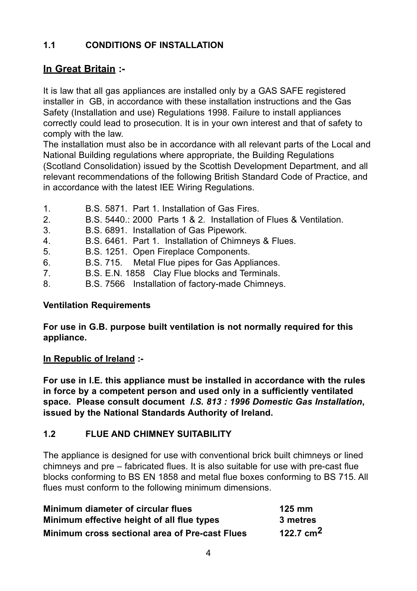# **1.1 CONDITIONS OF INSTALLATION**

# **In Great Britain :-**

It is law that all gas appliances are installed only by a GAS SAFE registered installer in GB, in accordance with these installation instructions and the Gas Safety (Installation and use) Regulations 1998. Failure to install appliances correctly could lead to prosecution. It is in your own interest and that of safety to comply with the law.

The installation must also be in accordance with all relevant parts of the Local and National Building regulations where appropriate, the Building Regulations (Scotland Consolidation) issued by the Scottish Development Department, and all relevant recommendations of the following British Standard Code of Practice, and in accordance with the latest IEE Wiring Regulations.

| $\mathbf{1}$ . | B.S. 5871. Part 1. Installation of Gas Fires.                      |
|----------------|--------------------------------------------------------------------|
| 2.             | B.S. 5440.: 2000 Parts 1 & 2. Installation of Flues & Ventilation. |
| 3.             | B.S. 6891. Installation of Gas Pipework.                           |
| 4.             | B.S. 6461. Part 1. Installation of Chimneys & Flues.               |
| 5.             | B.S. 1251. Open Fireplace Components.                              |
| 6.             | B.S. 715. Metal Flue pipes for Gas Appliances.                     |
| 7.             | B.S. E.N. 1858 Clay Flue blocks and Terminals.                     |
| 8.             | B.S. 7566 Installation of factory-made Chimneys.                   |

#### **Ventilation Requirements**

**For use in G.B. purpose built ventilation is not normally required for this appliance.**

#### **In Republic of Ireland :-**

**For use in I.E. this appliance must be installed in accordance with the rules in force by a competent person and used only in a sufficiently ventilated space. Please consult document** *I.S. 813 : 1996 Domestic Gas Installation***, issued by the National Standards Authority of Ireland.**

# **1.2 FLUE AND CHIMNEY SUITABILITY**

The appliance is designed for use with conventional brick built chimneys or lined chimneys and pre – fabricated flues. It is also suitable for use with pre-cast flue blocks conforming to BS EN 1858 and metal flue boxes conforming to BS 715. All flues must conform to the following minimum dimensions.

| Minimum diameter of circular flues                    | $125 \text{ mm}$ |
|-------------------------------------------------------|------------------|
| Minimum effective height of all flue types            | 3 metres         |
| <b>Minimum cross sectional area of Pre-cast Flues</b> | 122.7 $cm2$      |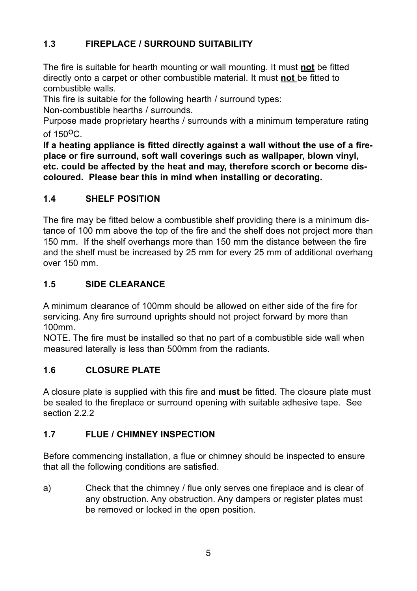# **1.3 FIREPLACE / SURROUND SUITABILITY**

The fire is suitable for hearth mounting or wall mounting. It must **not** be fitted directly onto a carpet or other combustible material. It must **not** be fitted to combustible walls.

This fire is suitable for the following hearth / surround types:

Non-combustible hearths / surrounds.

Purpose made proprietary hearths / surrounds with a minimum temperature rating of  $150^{\circ}$ C.

**If a heating appliance is fitted directly against a wall without the use of a fireplace or fire surround, soft wall coverings such as wallpaper, blown vinyl, etc. could be affected by the heat and may, therefore scorch or become discoloured. Please bear this in mind when installing or decorating.**

# **1.4 SHELF POSITION**

The fire may be fitted below a combustible shelf providing there is a minimum distance of 100 mm above the top of the fire and the shelf does not project more than 150 mm. If the shelf overhangs more than 150 mm the distance between the fire and the shelf must be increased by 25 mm for every 25 mm of additional overhang over 150 mm.

# **1.5 SIDE CLEARANCE**

A minimum clearance of 100mm should be allowed on either side of the fire for servicing. Any fire surround uprights should not project forward by more than 100mm.

NOTE. The fire must be installed so that no part of a combustible side wall when measured laterally is less than 500mm from the radiants.

# **1.6 CLOSURE PLATE**

A closure plate is supplied with this fire and **must** be fitted. The closure plate must be sealed to the fireplace or surround opening with suitable adhesive tape. See section 2.2.2.

# **1.7 FLUE / CHIMNEY INSPECTION**

Before commencing installation, a flue or chimney should be inspected to ensure that all the following conditions are satisfied.

a) Check that the chimney / flue only serves one fireplace and is clear of any obstruction. Any obstruction. Any dampers or register plates must be removed or locked in the open position.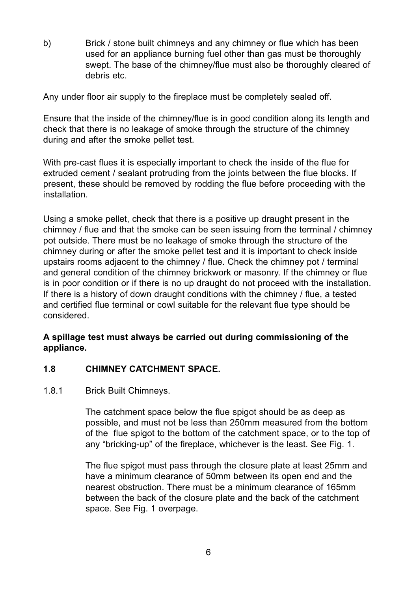b) Brick / stone built chimneys and any chimney or flue which has been used for an appliance burning fuel other than gas must be thoroughly swept. The base of the chimney/flue must also be thoroughly cleared of debris etc.

Any under floor air supply to the fireplace must be completely sealed off.

Ensure that the inside of the chimney/flue is in good condition along its length and check that there is no leakage of smoke through the structure of the chimney during and after the smoke pellet test.

With pre-cast flues it is especially important to check the inside of the flue for extruded cement / sealant protruding from the joints between the flue blocks. If present, these should be removed by rodding the flue before proceeding with the installation.

Using a smoke pellet, check that there is a positive up draught present in the chimney / flue and that the smoke can be seen issuing from the terminal / chimney pot outside. There must be no leakage of smoke through the structure of the chimney during or after the smoke pellet test and it is important to check inside upstairs rooms adjacent to the chimney / flue. Check the chimney pot / terminal and general condition of the chimney brickwork or masonry. If the chimney or flue is in poor condition or if there is no up draught do not proceed with the installation. If there is a history of down draught conditions with the chimney / flue, a tested and certified flue terminal or cowl suitable for the relevant flue type should be considered.

#### **A spillage test must always be carried out during commissioning of the appliance.**

#### **1.8 CHIMNEY CATCHMENT SPACE.**

#### 1.8.1 Brick Built Chimneys.

The catchment space below the flue spigot should be as deep as possible, and must not be less than 250mm measured from the bottom of the flue spigot to the bottom of the catchment space, or to the top of any "bricking-up" of the fireplace, whichever is the least. See Fig. 1.

The flue spigot must pass through the closure plate at least 25mm and have a minimum clearance of 50mm between its open end and the nearest obstruction. There must be a minimum clearance of 165mm between the back of the closure plate and the back of the catchment space. See Fig. 1 overpage.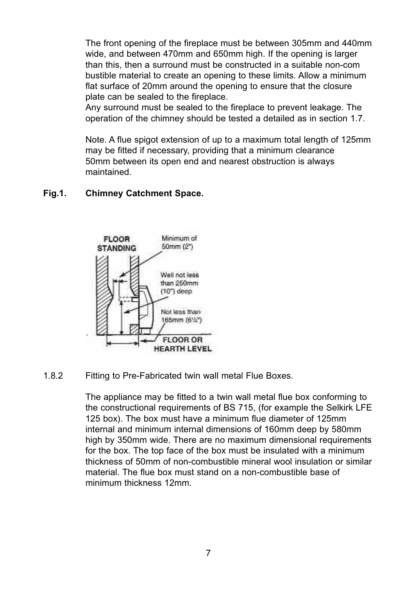The front opening of the fireplace must be between 305mm and 440mm wide, and between 470mm and 650mm high. If the opening is larger than this, then a surround must be constructed in a suitable non-com bustible material to create an opening to these limits. Allow a minimum flat surface of 20mm around the opening to ensure that the closure plate can be sealed to the fireplace.

Any surround must be sealed to the fireplace to prevent leakage. The operation of the chimney should be tested a detailed as in section 1.7.

Note. A flue spigot extension of up to a maximum total length of 125mm may be fitted if necessary, providing that a minimum clearance 50mm between its open end and nearest obstruction is always maintained.

#### **Fig.1. Chimney Catchment Space.**



1.8.2 Fitting to Pre-Fabricated twin wall metal Flue Boxes.

The appliance may be fitted to a twin wall metal flue box conforming to the constructional requirements of BS 715, (for example the Selkirk LFE 125 box). The box must have a minimum flue diameter of 125mm internal and minimum internal dimensions of 160mm deep by 580mm high by 350mm wide. There are no maximum dimensional requirements for the box. The top face of the box must be insulated with a minimum thickness of 50mm of non-combustible mineral wool insulation or similar material. The flue box must stand on a non-combustible base of minimum thickness 12mm.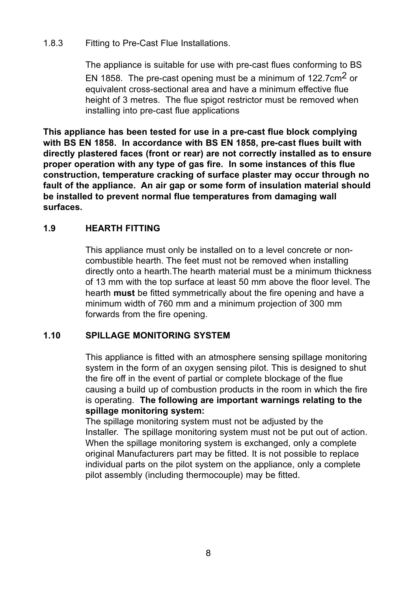#### 1.8.3 Fitting to Pre-Cast Flue Installations.

The appliance is suitable for use with pre-cast flues conforming to BS EN 1858. The pre-cast opening must be a minimum of 122.7cm2 or equivalent cross-sectional area and have a minimum effective flue height of 3 metres. The flue spigot restrictor must be removed when installing into pre-cast flue applications

**This appliance has been tested for use in a pre-cast flue block complying with BS EN 1858. In accordance with BS EN 1858, pre-cast flues built with directly plastered faces (front or rear) are not correctly installed as to ensure proper operation with any type of gas fire. In some instances of this flue construction, temperature cracking of surface plaster may occur through no fault of the appliance. An air gap or some form of insulation material should be installed to prevent normal flue temperatures from damaging wall surfaces.**

#### **1.9 HEARTH FITTING**

This appliance must only be installed on to a level concrete or noncombustible hearth. The feet must not be removed when installing directly onto a hearth.The hearth material must be a minimum thickness of 13 mm with the top surface at least 50 mm above the floor level. The hearth **must** be fitted symmetrically about the fire opening and have a minimum width of 760 mm and a minimum projection of 300 mm forwards from the fire opening.

#### **1.10 SPILLAGE MONITORING SYSTEM**

This appliance is fitted with an atmosphere sensing spillage monitoring system in the form of an oxygen sensing pilot. This is designed to shut the fire off in the event of partial or complete blockage of the flue causing a build up of combustion products in the room in which the fire is operating. **The following are important warnings relating to the spillage monitoring system:**

The spillage monitoring system must not be adjusted by the Installer. The spillage monitoring system must not be put out of action. When the spillage monitoring system is exchanged, only a complete original Manufacturers part may be fitted. It is not possible to replace individual parts on the pilot system on the appliance, only a complete pilot assembly (including thermocouple) may be fitted.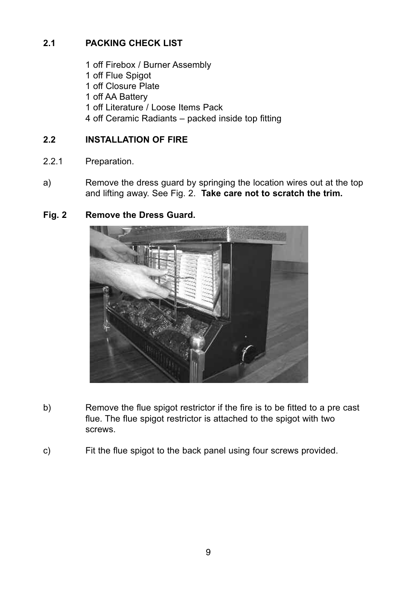# **2.1 PACKING CHECK LIST**

 off Firebox / Burner Assembly off Flue Spigot off Closure Plate off AA Battery off Literature / Loose Items Pack off Ceramic Radiants – packed inside top fitting

#### **2.2 INSTALLATION OF FIRE**

- 2.2.1 Preparation.
- a) Remove the dress guard by springing the location wires out at the top and lifting away. See Fig. 2. **Take care not to scratch the trim.**

#### **Fig. 2 Remove the Dress Guard.**



- b) Remove the flue spigot restrictor if the fire is to be fitted to a pre cast flue. The flue spigot restrictor is attached to the spigot with two screws.
- c) Fit the flue spigot to the back panel using four screws provided.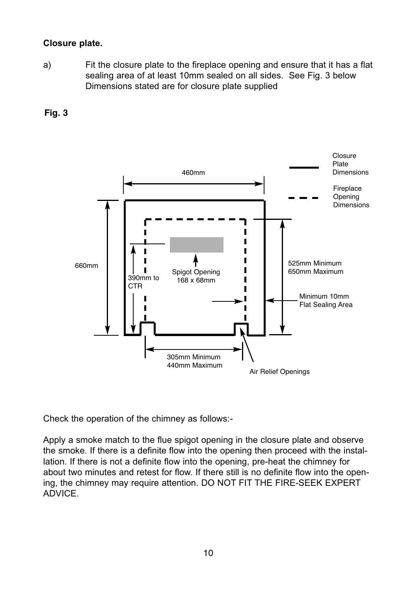#### **Closure plate.**

a) Fit the closure plate to the fireplace opening and ensure that it has a flat sealing area of at least 10mm sealed on all sides. See Fig. 3 below Dimensions stated are for closure plate supplied



**Fig. 3**

Check the operation of the chimney as follows:-

Apply a smoke match to the flue spigot opening in the closure plate and observe the smoke. If there is a definite flow into the opening then proceed with the installation. If there is not a definite flow into the opening, pre-heat the chimney for about two minutes and retest for flow. If there still is no definite flow into the opening, the chimney may require attention. DO NOT FIT THE FIRE-SEEK EXPERT ADVICE.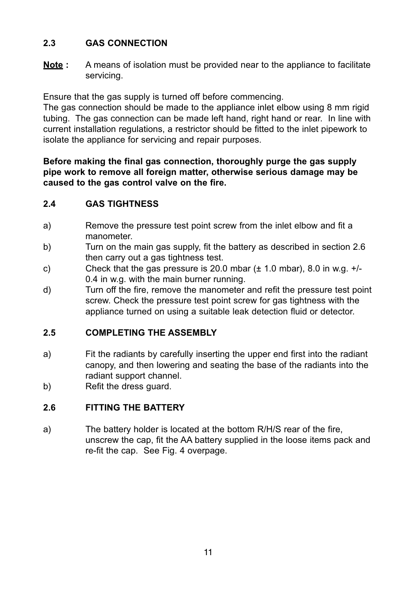# **2.3 GAS CONNECTION**

**Note :** A means of isolation must be provided near to the appliance to facilitate servicing.

Ensure that the gas supply is turned off before commencing.

The gas connection should be made to the appliance inlet elbow using 8 mm rigid tubing. The gas connection can be made left hand, right hand or rear. In line with current installation regulations, a restrictor should be fitted to the inlet pipework to isolate the appliance for servicing and repair purposes.

#### **Before making the final gas connection, thoroughly purge the gas supply pipe work to remove all foreign matter, otherwise serious damage may be caused to the gas control valve on the fire.**

# **2.4 GAS TIGHTNESS**

- a) Remove the pressure test point screw from the inlet elbow and fit a manometer.
- b) Turn on the main gas supply, fit the battery as described in section 2.6 then carry out a gas tightness test.
- c) Check that the gas pressure is 20.0 mbar  $(\pm 1.0 \text{ mbar})$ , 8.0 in w.g.  $+/-$ 0.4 in w.g. with the main burner running.
- d) Turn off the fire, remove the manometer and refit the pressure test point screw. Check the pressure test point screw for gas tightness with the appliance turned on using a suitable leak detection fluid or detector.

# **2.5 COMPLETING THE ASSEMBLY**

- a) Fit the radiants by carefully inserting the upper end first into the radiant canopy, and then lowering and seating the base of the radiants into the radiant support channel.
- b) Refit the dress guard.

# **2.6 FITTING THE BATTERY**

a) The battery holder is located at the bottom R/H/S rear of the fire, unscrew the cap, fit the AA battery supplied in the loose items pack and re-fit the cap. See Fig. 4 overpage.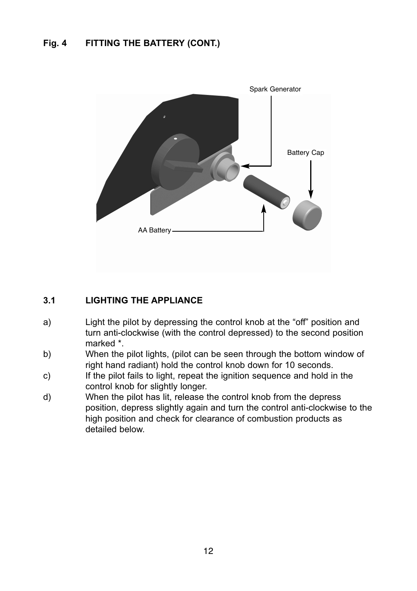# **Fig. 4 FITTING THE BATTERY (CONT.)**



#### **3.1 LIGHTING THE APPLIANCE**

- a) Light the pilot by depressing the control knob at the "off" position and turn anti-clockwise (with the control depressed) to the second position marked \*.
- b) When the pilot lights, (pilot can be seen through the bottom window of right hand radiant) hold the control knob down for 10 seconds.
- c) If the pilot fails to light, repeat the ignition sequence and hold in the control knob for slightly longer.
- d) When the pilot has lit, release the control knob from the depress position, depress slightly again and turn the control anti-clockwise to the high position and check for clearance of combustion products as detailed below.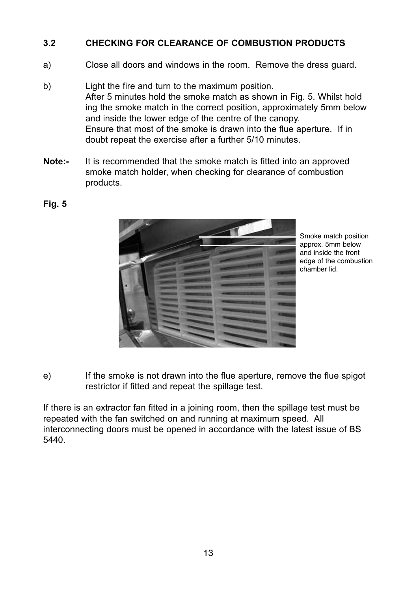#### **3.2 CHECKING FOR CLEARANCE OF COMBUSTION PRODUCTS**

- a) Close all doors and windows in the room. Remove the dress guard.
- b) Light the fire and turn to the maximum position. After 5 minutes hold the smoke match as shown in Fig. 5. Whilst hold ing the smoke match in the correct position, approximately 5mm below and inside the lower edge of the centre of the canopy. Ensure that most of the smoke is drawn into the flue aperture. If in doubt repeat the exercise after a further 5/10 minutes.
- **Note:-** It is recommended that the smoke match is fitted into an approved smoke match holder, when checking for clearance of combustion products.



Smoke match position approx. 5mm below and inside the front edge of the combustion chamber lid.

e) If the smoke is not drawn into the flue aperture, remove the flue spigot restrictor if fitted and repeat the spillage test.

If there is an extractor fan fitted in a joining room, then the spillage test must be repeated with the fan switched on and running at maximum speed. All interconnecting doors must be opened in accordance with the latest issue of BS 5440.

#### **Fig. 5**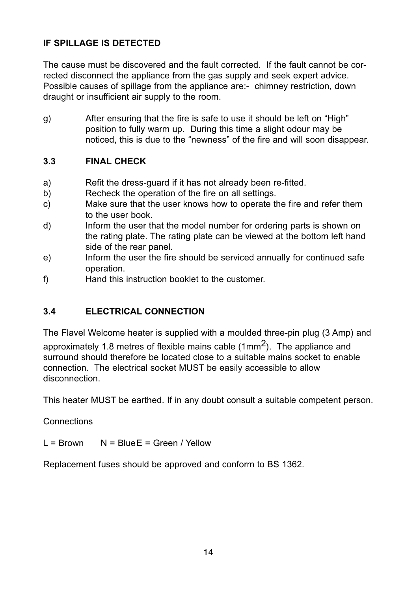# **IF SPILLAGE IS DETECTED**

The cause must be discovered and the fault corrected. If the fault cannot be corrected disconnect the appliance from the gas supply and seek expert advice. Possible causes of spillage from the appliance are:- chimney restriction, down draught or insufficient air supply to the room.

g) After ensuring that the fire is safe to use it should be left on "High" position to fully warm up. During this time a slight odour may be noticed, this is due to the "newness" of the fire and will soon disappear.

# **3.3 FINAL CHECK**

- a) Refit the dress-guard if it has not already been re-fitted.
- b) Recheck the operation of the fire on all settings.
- c) Make sure that the user knows how to operate the fire and refer them to the user book.
- d) Inform the user that the model number for ordering parts is shown on the rating plate. The rating plate can be viewed at the bottom left hand side of the rear panel.
- e) Inform the user the fire should be serviced annually for continued safe operation.
- f) Hand this instruction booklet to the customer.

# **3.4 ELECTRICAL CONNECTION**

The Flavel Welcome heater is supplied with a moulded three-pin plug (3 Amp) and

approximately 1.8 metres of flexible mains cable (1mm2). The appliance and surround should therefore be located close to a suitable mains socket to enable connection. The electrical socket MUST be easily accessible to allow disconnection.

This heater MUST be earthed. If in any doubt consult a suitable competent person.

#### **Connections**

 $L = Rrown \tN = RlineF = Green / Yellow$ 

Replacement fuses should be approved and conform to BS 1362.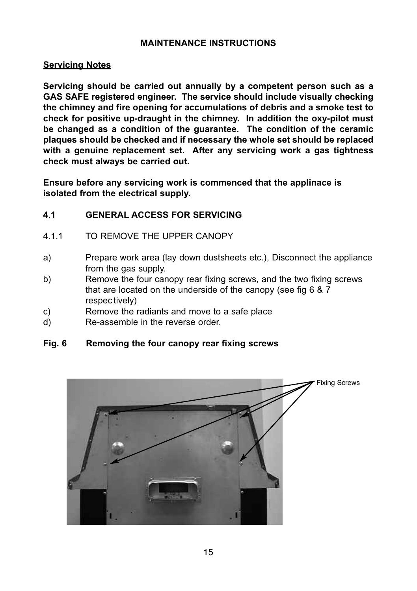#### **MAINTENANCE INSTRUCTIONS**

#### **Servicing Notes**

**Servicing should be carried out annually by a competent person such as a GAS SAFE registered engineer. The service should include visually checking the chimney and fire opening for accumulations of debris and a smoke test to check for positive up-draught in the chimney. In addition the oxy-pilot must be changed as a condition of the guarantee. The condition of the ceramic plaques should be checked and if necessary the whole set should be replaced with a genuine replacement set. After any servicing work a gas tightness check must always be carried out.**

**Ensure before any servicing work is commenced that the applinace is isolated from the electrical supply.**

#### **4.1 GENERAL ACCESS FOR SERVICING**

- 4.1.1 TO REMOVE THE UPPER CANOPY
- a) Prepare work area (lay down dustsheets etc.), Disconnect the appliance from the gas supply.
- b) Remove the four canopy rear fixing screws, and the two fixing screws that are located on the underside of the canopy (see fig 6 & 7 respec tively)
- c) Remove the radiants and move to a safe place
- d) Re-assemble in the reverse order.

#### **Fig. 6 Removing the four canopy rear fixing screws**

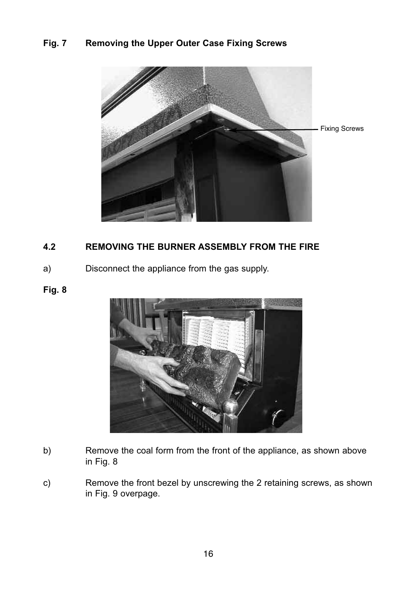# **Fig. 7 Removing the Upper Outer Case Fixing Screws**



### **4.2 REMOVING THE BURNER ASSEMBLY FROM THE FIRE**

a) Disconnect the appliance from the gas supply.

#### **Fig. 8**



- b) Remove the coal form from the front of the appliance, as shown above in Fig. 8
- c) Remove the front bezel by unscrewing the 2 retaining screws, as shown in Fig. 9 overpage.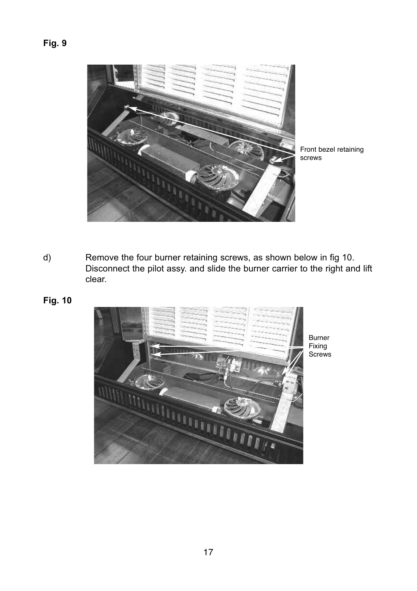# **Fig. 9**



Front bezel retaining screws

- d) Remove the four burner retaining screws, as shown below in fig 10. Disconnect the pilot assy. and slide the burner carrier to the right and lift clear.
- **Fig. 10**

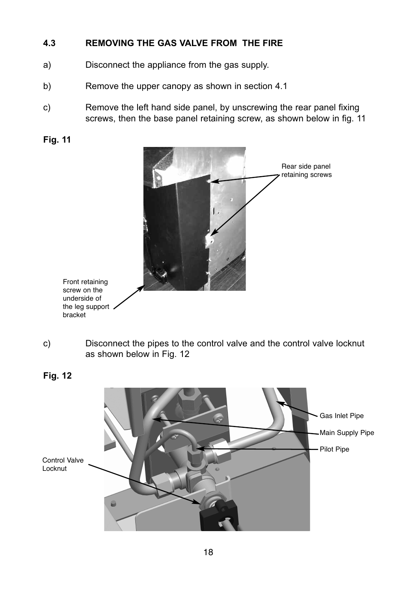### **4.3 REMOVING THE GAS VALVE FROM THE FIRE**

- a) Disconnect the appliance from the gas supply.
- b) Remove the upper canopy as shown in section 4.1
- c) Remove the left hand side panel, by unscrewing the rear panel fixing screws, then the base panel retaining screw, as shown below in fig. 11



c) Disconnect the pipes to the control valve and the control valve locknut as shown below in Fig. 12



**Fig. 12**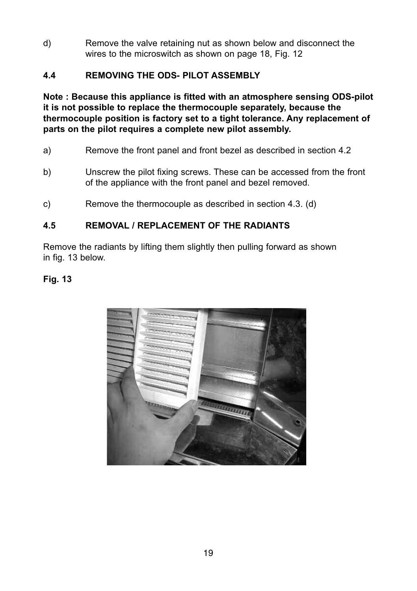d) Remove the valve retaining nut as shown below and disconnect the wires to the microswitch as shown on page 18, Fig. 12

# **4.4 REMOVING THE ODS- PILOT ASSEMBLY**

**Note : Because this appliance is fitted with an atmosphere sensing ODS-pilot it is not possible to replace the thermocouple separately, because the thermocouple position is factory set to a tight tolerance. Any replacement of parts on the pilot requires a complete new pilot assembly.**

- a) Remove the front panel and front bezel as described in section 4.2
- b) Unscrew the pilot fixing screws. These can be accessed from the front of the appliance with the front panel and bezel removed.
- c) Remove the thermocouple as described in section 4.3. (d)

#### **4.5 REMOVAL / REPLACEMENT OF THE RADIANTS**

Remove the radiants by lifting them slightly then pulling forward as shown in fig. 13 below.

#### **Fig. 13**

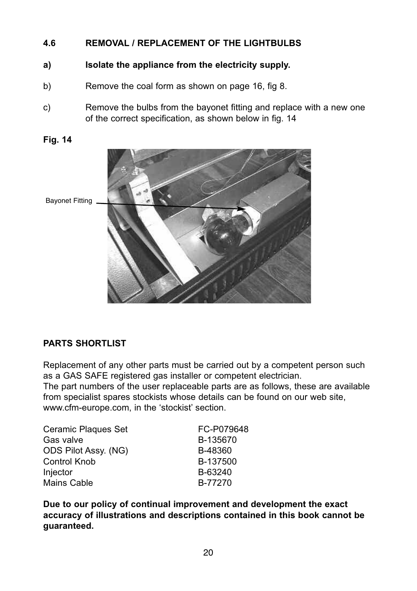#### **4.6 REMOVAL / REPLACEMENT OF THE LIGHTBULBS**

- **a) Isolate the appliance from the electricity supply.**
- b) Remove the coal form as shown on page 16, fig 8.
- c) Remove the bulbs from the bayonet fitting and replace with a new one of the correct specification, as shown below in fig. 14



# **Fig. 14**

# **PARTS SHORTLIST**

Replacement of any other parts must be carried out by a competent person such as a GAS SAFE registered gas installer or competent electrician.

The part numbers of the user replaceable parts are as follows, these are available from specialist spares stockists whose details can be found on our web site, www.cfm-europe.com, in the 'stockist' section.

| Ceramic Plagues Set  | FC-P079648 |
|----------------------|------------|
| Gas valve            | B-135670   |
| ODS Pilot Assy. (NG) | B-48360    |
| Control Knob         | B-137500   |
| Injector             | B-63240    |
| Mains Cable          | B-77270    |

**Due to our policy of continual improvement and development the exact accuracy of illustrations and descriptions contained in this book cannot be guaranteed.**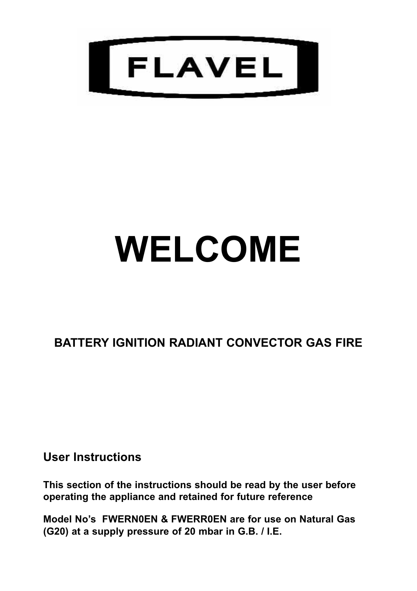

# **WELCOME**

# **BATTERY IGNITION RADIANT CONVECTOR GAS FIRE**

**User Instructions**

**This section of the instructions should be read by the user before operating the appliance and retained for future reference**

**Model No's FWERN0EN & FWERR0EN are for use on Natural Gas (G20) at a supply pressure of 20 mbar in G.B. / I.E.**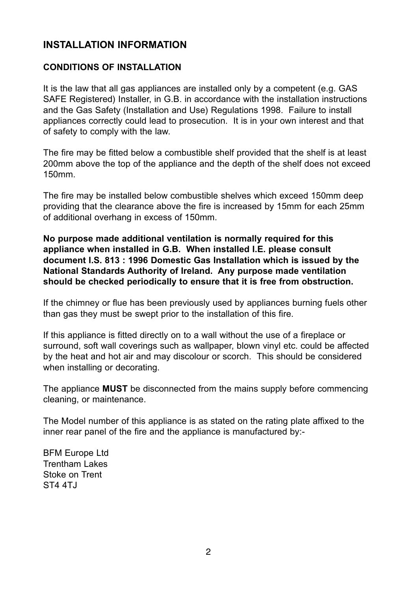# **INSTALLATION INFORMATION**

#### **CONDITIONS OF INSTALLATION**

It is the law that all gas appliances are installed only by a competent (e.g. GAS SAFE Registered) Installer, in G.B. in accordance with the installation instructions and the Gas Safety (Installation and Use) Regulations 1998. Failure to install appliances correctly could lead to prosecution. It is in your own interest and that of safety to comply with the law.

The fire may be fitted below a combustible shelf provided that the shelf is at least 200mm above the top of the appliance and the depth of the shelf does not exceed 150mm.

The fire may be installed below combustible shelves which exceed 150mm deep providing that the clearance above the fire is increased by 15mm for each 25mm of additional overhang in excess of 150mm.

**No purpose made additional ventilation is normally required for this appliance when installed in G.B. When installed I.E. please consult document I.S. 813 : 1996 Domestic Gas Installation which is issued by the National Standards Authority of Ireland. Any purpose made ventilation should be checked periodically to ensure that it is free from obstruction.**

If the chimney or flue has been previously used by appliances burning fuels other than gas they must be swept prior to the installation of this fire.

If this appliance is fitted directly on to a wall without the use of a fireplace or surround, soft wall coverings such as wallpaper, blown vinyl etc. could be affected by the heat and hot air and may discolour or scorch. This should be considered when installing or decorating.

The appliance **MUST** be disconnected from the mains supply before commencing cleaning, or maintenance.

The Model number of this appliance is as stated on the rating plate affixed to the inner rear panel of the fire and the appliance is manufactured by:-

BFM Europe Ltd Trentham Lakes Stoke on Trent ST4 4TJ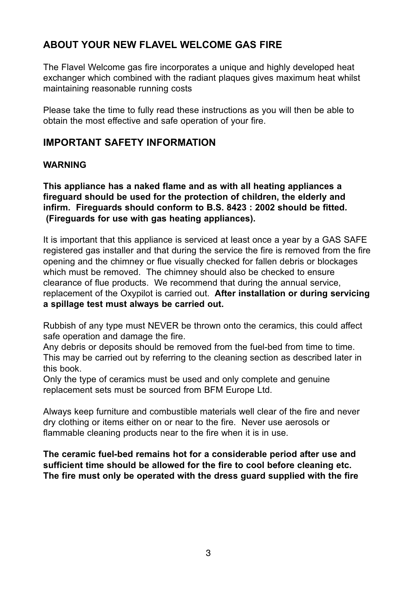# **ABOUT YOUR NEW FLAVEL WELCOME GAS FIRE**

The Flavel Welcome gas fire incorporates a unique and highly developed heat exchanger which combined with the radiant plaques gives maximum heat whilst maintaining reasonable running costs

Please take the time to fully read these instructions as you will then be able to obtain the most effective and safe operation of your fire.

# **IMPORTANT SAFETY INFORMATION**

#### **WARNING**

**This appliance has a naked flame and as with all heating appliances a fireguard should be used for the protection of children, the elderly and infirm. Fireguards should conform to B.S. 8423 : 2002 should be fitted. (Fireguards for use with gas heating appliances).**

It is important that this appliance is serviced at least once a year by a GAS SAFE registered gas installer and that during the service the fire is removed from the fire opening and the chimney or flue visually checked for fallen debris or blockages which must be removed. The chimney should also be checked to ensure clearance of flue products. We recommend that during the annual service, replacement of the Oxypilot is carried out. **After installation or during servicing a spillage test must always be carried out.**

Rubbish of any type must NEVER be thrown onto the ceramics, this could affect safe operation and damage the fire.

Any debris or deposits should be removed from the fuel-bed from time to time. This may be carried out by referring to the cleaning section as described later in this book.

Only the type of ceramics must be used and only complete and genuine replacement sets must be sourced from BFM Europe Ltd.

Always keep furniture and combustible materials well clear of the fire and never dry clothing or items either on or near to the fire. Never use aerosols or flammable cleaning products near to the fire when it is in use.

**The ceramic fuel-bed remains hot for a considerable period after use and sufficient time should be allowed for the fire to cool before cleaning etc. The fire must only be operated with the dress guard supplied with the fire**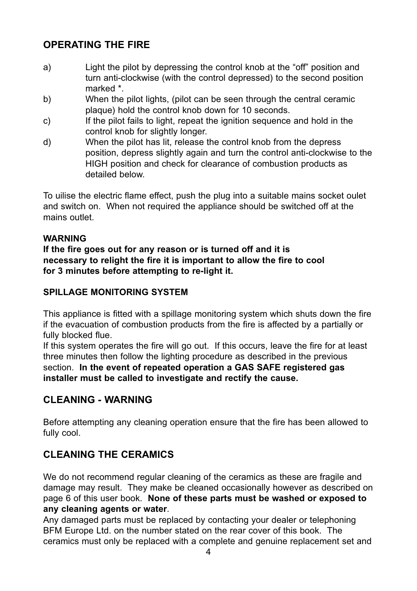# **OPERATING THE FIRE**

- a) Light the pilot by depressing the control knob at the "off" position and turn anti-clockwise (with the control depressed) to the second position marked \*.
- b) When the pilot lights, (pilot can be seen through the central ceramic plaque) hold the control knob down for 10 seconds.
- c) If the pilot fails to light, repeat the ignition sequence and hold in the control knob for slightly longer.
- d) When the pilot has lit, release the control knob from the depress position, depress slightly again and turn the control anti-clockwise to the HIGH position and check for clearance of combustion products as detailed below.

To uilise the electric flame effect, push the plug into a suitable mains socket oulet and switch on. When not required the appliance should be switched off at the mains outlet.

#### **WARNING**

**If the fire goes out for any reason or is turned off and it is necessary to relight the fire it is important to allow the fire to cool for 3 minutes before attempting to re-light it.**

# **SPILLAGE MONITORING SYSTEM**

This appliance is fitted with a spillage monitoring system which shuts down the fire if the evacuation of combustion products from the fire is affected by a partially or fully blocked flue.

If this system operates the fire will go out. If this occurs, leave the fire for at least three minutes then follow the lighting procedure as described in the previous section. **In the event of repeated operation a GAS SAFE registered gas installer must be called to investigate and rectify the cause.**

# **CLEANING - WARNING**

Before attempting any cleaning operation ensure that the fire has been allowed to fully cool.

# **CLEANING THE CERAMICS**

We do not recommend regular cleaning of the ceramics as these are fragile and damage may result. They make be cleaned occasionally however as described on page 6 of this user book. **None of these parts must be washed or exposed to any cleaning agents or water**.

Any damaged parts must be replaced by contacting your dealer or telephoning BFM Europe Ltd. on the number stated on the rear cover of this book. The ceramics must only be replaced with a complete and genuine replacement set and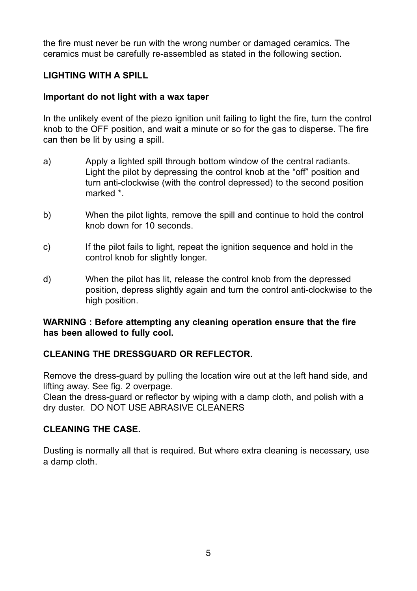the fire must never be run with the wrong number or damaged ceramics. The ceramics must be carefully re-assembled as stated in the following section.

#### **LIGHTING WITH A SPILL**

#### **Important do not light with a wax taper**

In the unlikely event of the piezo ignition unit failing to light the fire, turn the control knob to the OFF position, and wait a minute or so for the gas to disperse. The fire can then be lit by using a spill.

- a) Apply a lighted spill through bottom window of the central radiants. Light the pilot by depressing the control knob at the "off" position and turn anti-clockwise (with the control depressed) to the second position marked \*.
- b) When the pilot lights, remove the spill and continue to hold the control knob down for 10 seconds.
- c) If the pilot fails to light, repeat the ignition sequence and hold in the control knob for slightly longer.
- d) When the pilot has lit, release the control knob from the depressed position, depress slightly again and turn the control anti-clockwise to the high position.

#### **WARNING : Before attempting any cleaning operation ensure that the fire has been allowed to fully cool.**

#### **CLEANING THE DRESSGUARD OR REFLECTOR.**

Remove the dress-guard by pulling the location wire out at the left hand side, and lifting away. See fig. 2 overpage.

Clean the dress-guard or reflector by wiping with a damp cloth, and polish with a dry duster. DO NOT USE ABRASIVE CLEANERS

#### **CLEANING THE CASE.**

Dusting is normally all that is required. But where extra cleaning is necessary, use a damp cloth.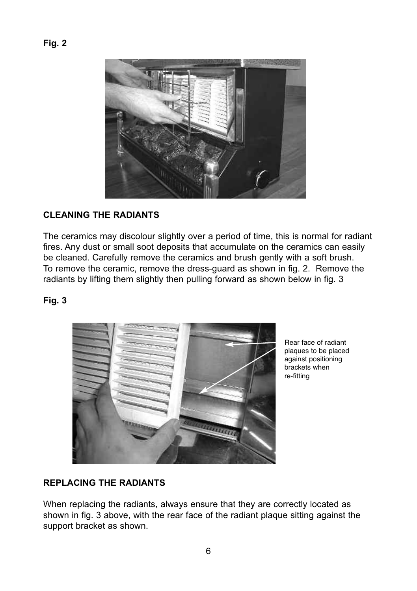

#### **CLEANING THE RADIANTS**

The ceramics may discolour slightly over a period of time, this is normal for radiant fires. Any dust or small soot deposits that accumulate on the ceramics can easily be cleaned. Carefully remove the ceramics and brush gently with a soft brush. To remove the ceramic, remove the dress-guard as shown in fig. 2. Remove the radiants by lifting them slightly then pulling forward as shown below in fig. 3

#### **Fig. 3**



Rear face of radiant plaques to be placed against positioning brackets when re-fitting

#### **REPLACING THE RADIANTS**

When replacing the radiants, always ensure that they are correctly located as shown in fig. 3 above, with the rear face of the radiant plaque sitting against the support bracket as shown.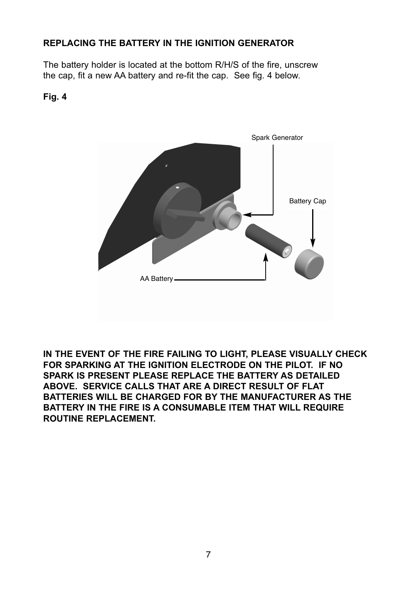# **REPLACING THE BATTERY IN THE IGNITION GENERATOR**

The battery holder is located at the bottom R/H/S of the fire, unscrew the cap, fit a new AA battery and re-fit the cap. See fig. 4 below.

#### **Fig. 4**



**IN THE EVENT OF THE FIRE FAILING TO LIGHT, PLEASE VISUALLY CHECK FOR SPARKING AT THE IGNITION ELECTRODE ON THE PILOT. IF NO SPARK IS PRESENT PLEASE REPLACE THE BATTERY AS DETAILED ABOVE. SERVICE CALLS THAT ARE A DIRECT RESULT OF FLAT BATTERIES WILL BE CHARGED FOR BY THE MANUFACTURER AS THE BATTERY IN THE FIRE IS A CONSUMABLE ITEM THAT WILL REQUIRE ROUTINE REPLACEMENT.**